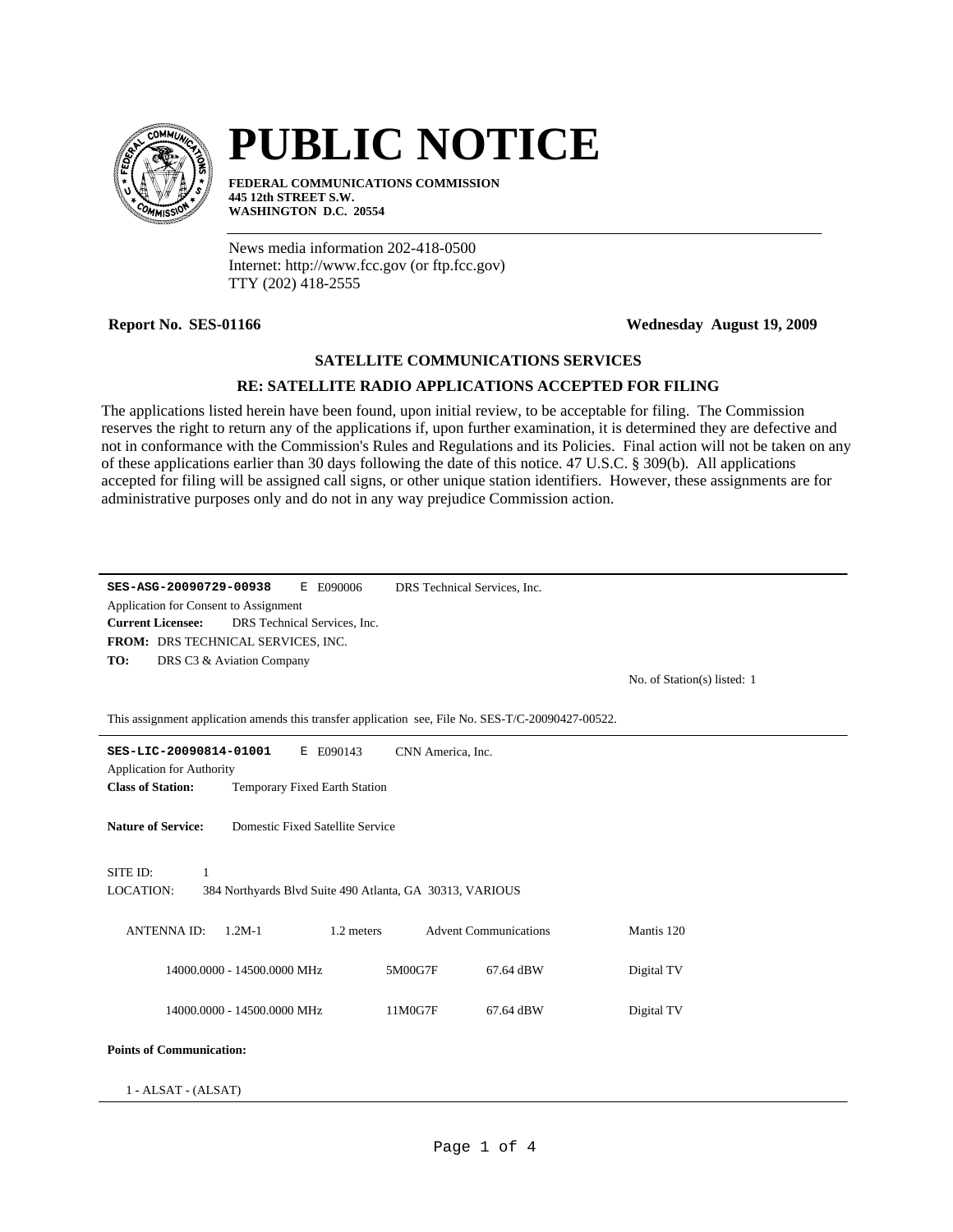

## **PUBLIC NOTICE**

**FEDERAL COMMUNICATIONS COMMISSION 445 12th STREET S.W. WASHINGTON D.C. 20554**

News media information 202-418-0500 Internet: http://www.fcc.gov (or ftp.fcc.gov) TTY (202) 418-2555

**Report No. SES-01166 Wednesday August 19, 2009**

## **SATELLITE COMMUNICATIONS SERVICES**

## **RE: SATELLITE RADIO APPLICATIONS ACCEPTED FOR FILING**

The applications listed herein have been found, upon initial review, to be acceptable for filing. The Commission reserves the right to return any of the applications if, upon further examination, it is determined they are defective and not in conformance with the Commission's Rules and Regulations and its Policies. Final action will not be taken on any of these applications earlier than 30 days following the date of this notice. 47 U.S.C. § 309(b). All applications accepted for filing will be assigned call signs, or other unique station identifiers. However, these assignments are for administrative purposes only and do not in any way prejudice Commission action.

| SES-ASG-20090729-00938<br>E E090006<br>DRS Technical Services, Inc.<br>Application for Consent to Assignment<br><b>Current Licensee:</b><br>DRS Technical Services, Inc.<br>FROM: DRS TECHNICAL SERVICES, INC. |                             |  |  |  |  |  |
|----------------------------------------------------------------------------------------------------------------------------------------------------------------------------------------------------------------|-----------------------------|--|--|--|--|--|
| TO:<br>DRS C3 & Aviation Company                                                                                                                                                                               | No. of Station(s) listed: 1 |  |  |  |  |  |
| This assignment application amends this transfer application see, File No. SES-T/C-20090427-00522.                                                                                                             |                             |  |  |  |  |  |
| SES-LIC-20090814-01001<br>E E090143<br>CNN America, Inc.                                                                                                                                                       |                             |  |  |  |  |  |
| <b>Application for Authority</b><br><b>Class of Station:</b><br>Temporary Fixed Earth Station                                                                                                                  |                             |  |  |  |  |  |
| <b>Nature of Service:</b><br>Domestic Fixed Satellite Service                                                                                                                                                  |                             |  |  |  |  |  |
| SITE ID:<br>$\mathbf{1}$                                                                                                                                                                                       |                             |  |  |  |  |  |
| <b>LOCATION:</b><br>384 Northyards Blvd Suite 490 Atlanta, GA 30313, VARIOUS                                                                                                                                   |                             |  |  |  |  |  |
| <b>Advent Communications</b><br><b>ANTENNA ID:</b><br>$1.2M-1$<br>1.2 meters                                                                                                                                   | Mantis 120                  |  |  |  |  |  |
| 14000.0000 - 14500.0000 MHz<br>5M00G7F<br>67.64 dBW                                                                                                                                                            | Digital TV                  |  |  |  |  |  |
| 14000.0000 - 14500.0000 MHz<br>11M0G7F<br>67.64 dBW                                                                                                                                                            | Digital TV                  |  |  |  |  |  |
| <b>Points of Communication:</b>                                                                                                                                                                                |                             |  |  |  |  |  |
| 1 - ALSAT - (ALSAT)                                                                                                                                                                                            |                             |  |  |  |  |  |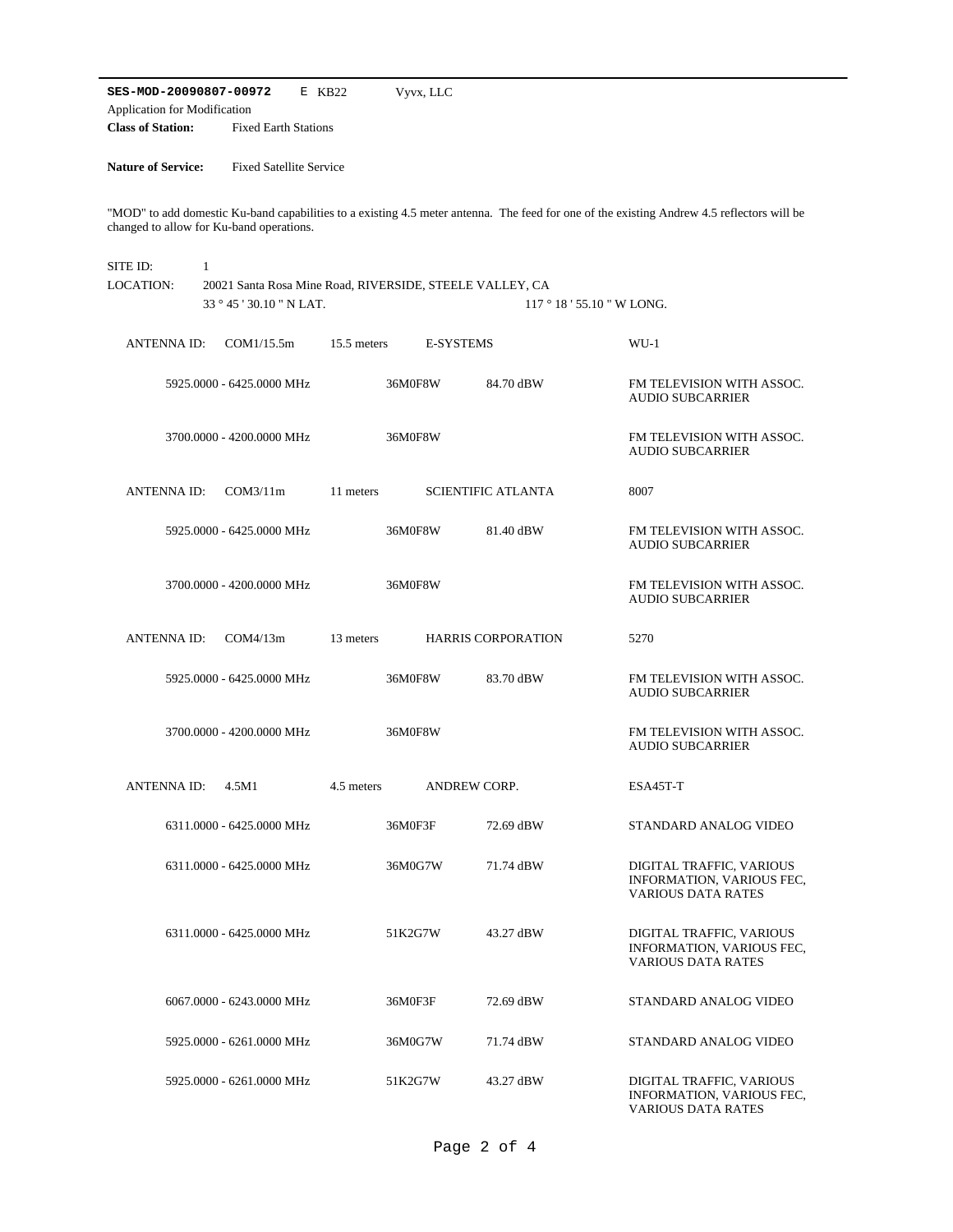**SES-MOD-20090807-00972** E KB22 **Class of Station:** Fixed Earth Stations Application for Modification Vyvx, LLC

**Nature of Service:** Fixed Satellite Service

"MOD" to add domestic Ku-band capabilities to a existing 4.5 meter antenna. The feed for one of the existing Andrew 4.5 reflectors will be changed to allow for Ku-band operations.

| SITE ID:           | $\mathbf{1}$              |             |                                                                                     |                           |                                                                                    |  |
|--------------------|---------------------------|-------------|-------------------------------------------------------------------------------------|---------------------------|------------------------------------------------------------------------------------|--|
| LOCATION:          |                           |             | 20021 Santa Rosa Mine Road, RIVERSIDE, STEELE VALLEY, CA<br>$117°18'55.10"$ W LONG. |                           |                                                                                    |  |
|                    | 33 ° 45 ' 30.10 " N LAT.  |             |                                                                                     |                           |                                                                                    |  |
| <b>ANTENNA ID:</b> | COM1/15.5m                | 15.5 meters | <b>E-SYSTEMS</b>                                                                    |                           | $WU-1$                                                                             |  |
|                    | 5925.0000 - 6425.0000 MHz |             | 36M0F8W                                                                             | 84.70 dBW                 | FM TELEVISION WITH ASSOC.<br><b>AUDIO SUBCARRIER</b>                               |  |
|                    | 3700.0000 - 4200.0000 MHz |             | 36M0F8W                                                                             |                           | FM TELEVISION WITH ASSOC.<br><b>AUDIO SUBCARRIER</b>                               |  |
| <b>ANTENNA ID:</b> | COM3/11m                  | 11 meters   |                                                                                     | <b>SCIENTIFIC ATLANTA</b> | 8007                                                                               |  |
|                    | 5925.0000 - 6425.0000 MHz |             | 36M0F8W                                                                             | 81.40 dBW                 | FM TELEVISION WITH ASSOC.<br><b>AUDIO SUBCARRIER</b>                               |  |
|                    | 3700.0000 - 4200.0000 MHz |             | 36M0F8W                                                                             |                           | FM TELEVISION WITH ASSOC.<br><b>AUDIO SUBCARRIER</b>                               |  |
| <b>ANTENNA ID:</b> | COM4/13m                  | 13 meters   |                                                                                     | <b>HARRIS CORPORATION</b> | 5270                                                                               |  |
|                    | 5925.0000 - 6425.0000 MHz |             | 36M0F8W                                                                             | 83.70 dBW                 | FM TELEVISION WITH ASSOC.<br><b>AUDIO SUBCARRIER</b>                               |  |
|                    | 3700.0000 - 4200.0000 MHz |             | 36M0F8W                                                                             |                           | FM TELEVISION WITH ASSOC.<br><b>AUDIO SUBCARRIER</b>                               |  |
| <b>ANTENNA ID:</b> | 4.5M1                     | 4.5 meters  | ANDREW CORP.                                                                        |                           | ESA45T-T                                                                           |  |
|                    | 6311.0000 - 6425.0000 MHz |             | 36M0F3F                                                                             | 72.69 dBW                 | STANDARD ANALOG VIDEO                                                              |  |
|                    | 6311.0000 - 6425.0000 MHz |             | 36M0G7W                                                                             | 71.74 dBW                 | DIGITAL TRAFFIC, VARIOUS<br>INFORMATION, VARIOUS FEC,<br><b>VARIOUS DATA RATES</b> |  |
|                    | 6311.0000 - 6425.0000 MHz |             | 51K2G7W                                                                             | 43.27 dBW                 | DIGITAL TRAFFIC, VARIOUS<br>INFORMATION, VARIOUS FEC,<br>VARIOUS DATA RATES        |  |
|                    | 6067.0000 - 6243.0000 MHz |             | 36M0F3F                                                                             | 72.69 dBW                 | STANDARD ANALOG VIDEO                                                              |  |
|                    | 5925.0000 - 6261.0000 MHz |             | 36M0G7W                                                                             | 71.74 dBW                 | STANDARD ANALOG VIDEO                                                              |  |
|                    | 5925.0000 - 6261.0000 MHz |             | 51K2G7W                                                                             | 43.27 dBW                 | DIGITAL TRAFFIC, VARIOUS<br>INFORMATION, VARIOUS FEC,<br><b>VARIOUS DATA RATES</b> |  |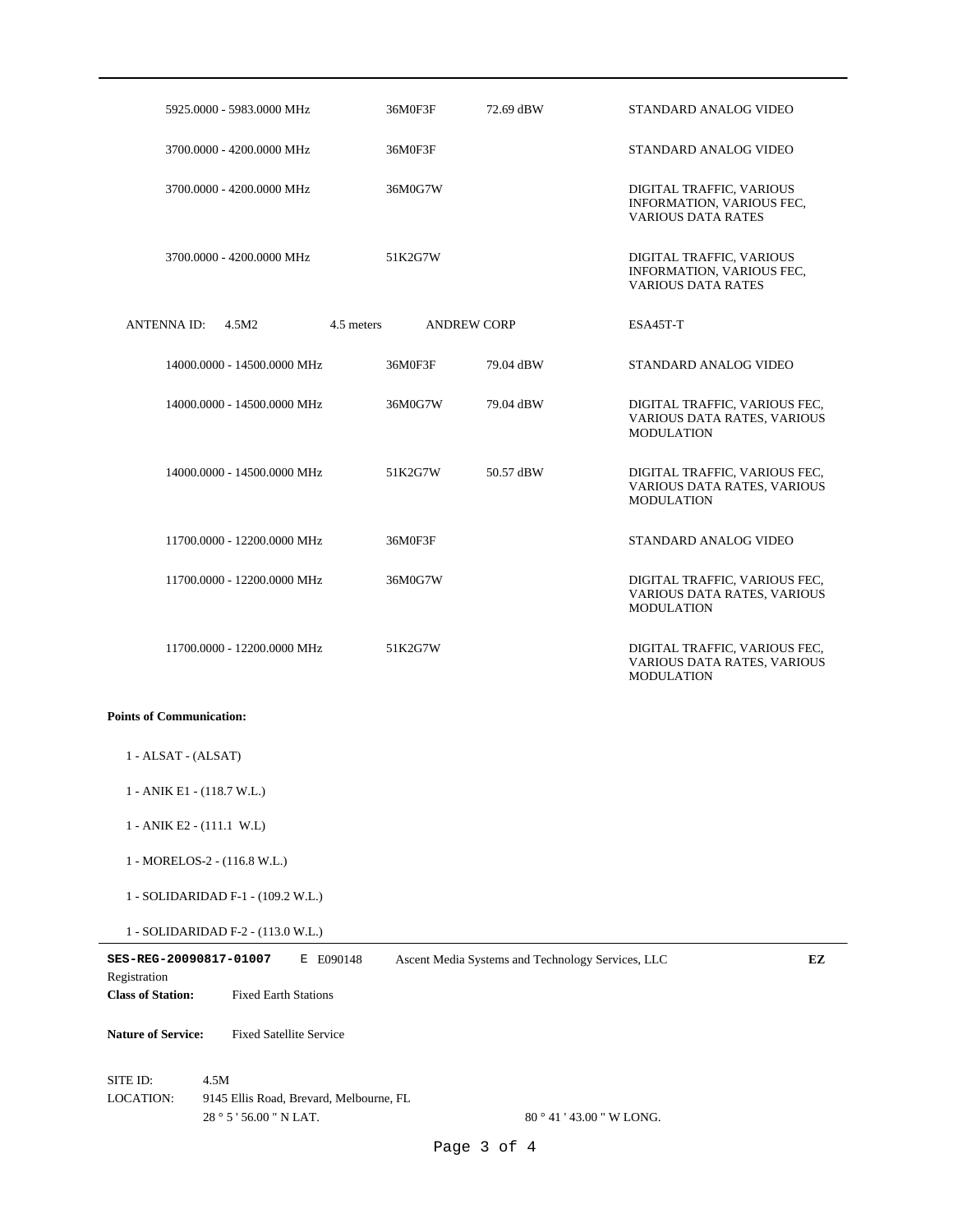|                                                                                                                                                                           | 5925.0000 - 5983.0000 MHz               | 36M0F3F    | 72.69 dBW          | STANDARD ANALOG VIDEO                                                              |  |
|---------------------------------------------------------------------------------------------------------------------------------------------------------------------------|-----------------------------------------|------------|--------------------|------------------------------------------------------------------------------------|--|
|                                                                                                                                                                           | 3700.0000 - 4200.0000 MHz               | 36M0F3F    |                    | STANDARD ANALOG VIDEO                                                              |  |
|                                                                                                                                                                           | 3700.0000 - 4200.0000 MHz               | 36M0G7W    |                    | DIGITAL TRAFFIC, VARIOUS<br>INFORMATION, VARIOUS FEC,<br><b>VARIOUS DATA RATES</b> |  |
|                                                                                                                                                                           | 3700,0000 - 4200,0000 MHz               | 51K2G7W    |                    | DIGITAL TRAFFIC, VARIOUS<br>INFORMATION, VARIOUS FEC.<br><b>VARIOUS DATA RATES</b> |  |
| ANTENNA ID:                                                                                                                                                               | 4.5M2                                   | 4.5 meters | <b>ANDREW CORP</b> | ESA45T-T                                                                           |  |
|                                                                                                                                                                           | 14000.0000 - 14500.0000 MHz             | 36M0F3F    | 79.04 dBW          | STANDARD ANALOG VIDEO                                                              |  |
|                                                                                                                                                                           | 14000.0000 - 14500.0000 MHz             | 36M0G7W    | 79.04 dBW          | DIGITAL TRAFFIC, VARIOUS FEC,<br>VARIOUS DATA RATES, VARIOUS<br><b>MODULATION</b>  |  |
|                                                                                                                                                                           | 14000.0000 - 14500.0000 MHz             | 51K2G7W    | 50.57 dBW          | DIGITAL TRAFFIC, VARIOUS FEC,<br>VARIOUS DATA RATES, VARIOUS<br><b>MODULATION</b>  |  |
|                                                                                                                                                                           | 11700.0000 - 12200.0000 MHz             | 36M0F3F    |                    | STANDARD ANALOG VIDEO                                                              |  |
|                                                                                                                                                                           | 11700.0000 - 12200.0000 MHz             | 36M0G7W    |                    | DIGITAL TRAFFIC, VARIOUS FEC,<br>VARIOUS DATA RATES, VARIOUS<br><b>MODULATION</b>  |  |
|                                                                                                                                                                           | 11700.0000 - 12200.0000 MHz             | 51K2G7W    |                    | DIGITAL TRAFFIC, VARIOUS FEC,<br>VARIOUS DATA RATES, VARIOUS<br><b>MODULATION</b>  |  |
| <b>Points of Communication:</b>                                                                                                                                           |                                         |            |                    |                                                                                    |  |
| $1 - ALSAT - (ALSAT)$                                                                                                                                                     |                                         |            |                    |                                                                                    |  |
|                                                                                                                                                                           | 1 - ANIK E1 - (118.7 W.L.)              |            |                    |                                                                                    |  |
| 1 - ANIK E2 - (111.1 W.L)                                                                                                                                                 |                                         |            |                    |                                                                                    |  |
| 1 - MORELOS-2 - (116.8 W.L.)                                                                                                                                              |                                         |            |                    |                                                                                    |  |
| 1 - SOLIDARIDAD F-1 - (109.2 W.L.)                                                                                                                                        |                                         |            |                    |                                                                                    |  |
| 1 - SOLIDARIDAD F-2 - (113.0 W.L.)                                                                                                                                        |                                         |            |                    |                                                                                    |  |
| SES-REG-20090817-01007<br>Ascent Media Systems and Technology Services, LLC<br>EZ<br>E E090148<br>Registration<br><b>Class of Station:</b><br><b>Fixed Earth Stations</b> |                                         |            |                    |                                                                                    |  |
| <b>Nature of Service:</b>                                                                                                                                                 | <b>Fixed Satellite Service</b>          |            |                    |                                                                                    |  |
| SITE ID:                                                                                                                                                                  | 4.5M                                    |            |                    |                                                                                    |  |
| LOCATION:                                                                                                                                                                 | 9145 Ellis Road, Brevard, Melbourne, FL |            |                    |                                                                                    |  |
|                                                                                                                                                                           | 28 ° 5 ' 56.00 " N LAT.                 |            |                    | 80 ° 41 ' 43.00 " W LONG.                                                          |  |